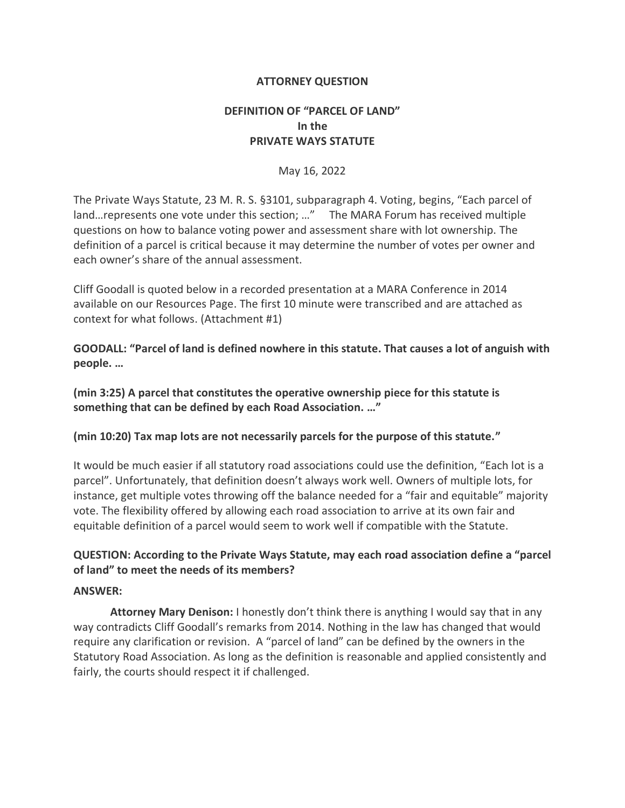#### **ATTORNEY QUESTION**

# **DEFINITION OF "PARCEL OF LAND" In the PRIVATE WAYS STATUTE**

#### May 16, 2022

The Private Ways Statute, 23 M. R. S. §3101, subparagraph 4. Voting, begins, "Each parcel of land…represents one vote under this section; …" The MARA Forum has received multiple questions on how to balance voting power and assessment share with lot ownership. The definition of a parcel is critical because it may determine the number of votes per owner and each owner's share of the annual assessment.

Cliff Goodall is quoted below in a recorded presentation at a MARA Conference in 2014 available on our Resources Page. The first 10 minute were transcribed and are attached as context for what follows. (Attachment #1)

**GOODALL: "Parcel of land is defined nowhere in this statute. That causes a lot of anguish with people. …**

**(min 3:25) A parcel that constitutes the operative ownership piece for this statute is something that can be defined by each Road Association. …"**

#### **(min 10:20) Tax map lots are not necessarily parcels for the purpose of this statute."**

It would be much easier if all statutory road associations could use the definition, "Each lot is a parcel". Unfortunately, that definition doesn't always work well. Owners of multiple lots, for instance, get multiple votes throwing off the balance needed for a "fair and equitable" majority vote. The flexibility offered by allowing each road association to arrive at its own fair and equitable definition of a parcel would seem to work well if compatible with the Statute.

# **QUESTION: According to the Private Ways Statute, may each road association define a "parcel of land" to meet the needs of its members?**

#### **ANSWER:**

**Attorney Mary Denison:** I honestly don't think there is anything I would say that in any way contradicts Cliff Goodall's remarks from 2014. Nothing in the law has changed that would require any clarification or revision. A "parcel of land" can be defined by the owners in the Statutory Road Association. As long as the definition is reasonable and applied consistently and fairly, the courts should respect it if challenged.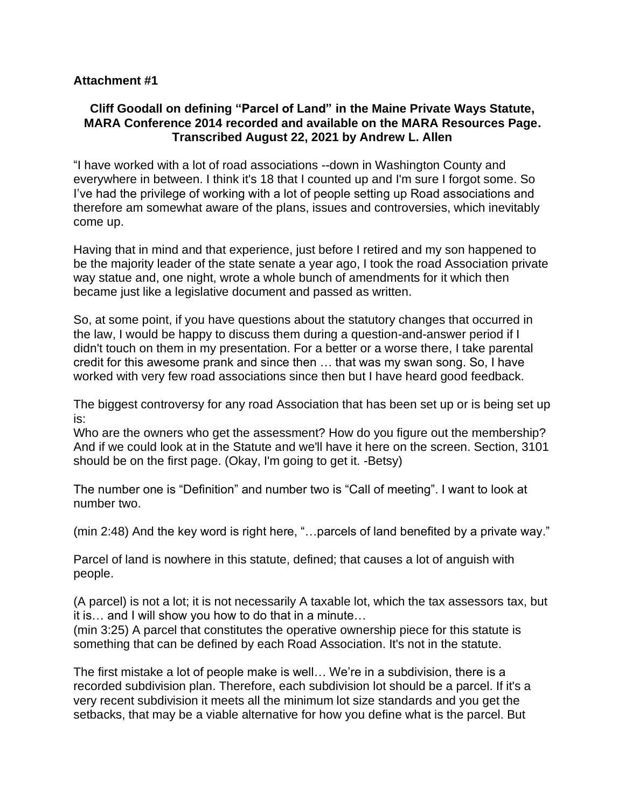# **Attachment #1**

# **Cliff Goodall on defining "Parcel of Land" in the Maine Private Ways Statute, MARA Conference 2014 recorded and available on the MARA Resources Page. Transcribed August 22, 2021 by Andrew L. Allen**

"I have worked with a lot of road associations --down in Washington County and everywhere in between. I think it's 18 that I counted up and I'm sure I forgot some. So I've had the privilege of working with a lot of people setting up Road associations and therefore am somewhat aware of the plans, issues and controversies, which inevitably come up.

Having that in mind and that experience, just before I retired and my son happened to be the majority leader of the state senate a year ago, I took the road Association private way statue and, one night, wrote a whole bunch of amendments for it which then became just like a legislative document and passed as written.

So, at some point, if you have questions about the statutory changes that occurred in the law, I would be happy to discuss them during a question-and-answer period if I didn't touch on them in my presentation. For a better or a worse there, I take parental credit for this awesome prank and since then … that was my swan song. So, I have worked with very few road associations since then but I have heard good feedback.

The biggest controversy for any road Association that has been set up or is being set up is:

Who are the owners who get the assessment? How do you figure out the membership? And if we could look at in the Statute and we'll have it here on the screen. Section, 3101 should be on the first page. (Okay, I'm going to get it. -Betsy)

The number one is "Definition" and number two is "Call of meeting". I want to look at number two.

(min 2:48) And the key word is right here, "…parcels of land benefited by a private way."

Parcel of land is nowhere in this statute, defined; that causes a lot of anguish with people.

(A parcel) is not a lot; it is not necessarily A taxable lot, which the tax assessors tax, but it is… and I will show you how to do that in a minute…

(min 3:25) A parcel that constitutes the operative ownership piece for this statute is something that can be defined by each Road Association. It's not in the statute.

The first mistake a lot of people make is well… We're in a subdivision, there is a recorded subdivision plan. Therefore, each subdivision lot should be a parcel. If it's a very recent subdivision it meets all the minimum lot size standards and you get the setbacks, that may be a viable alternative for how you define what is the parcel. But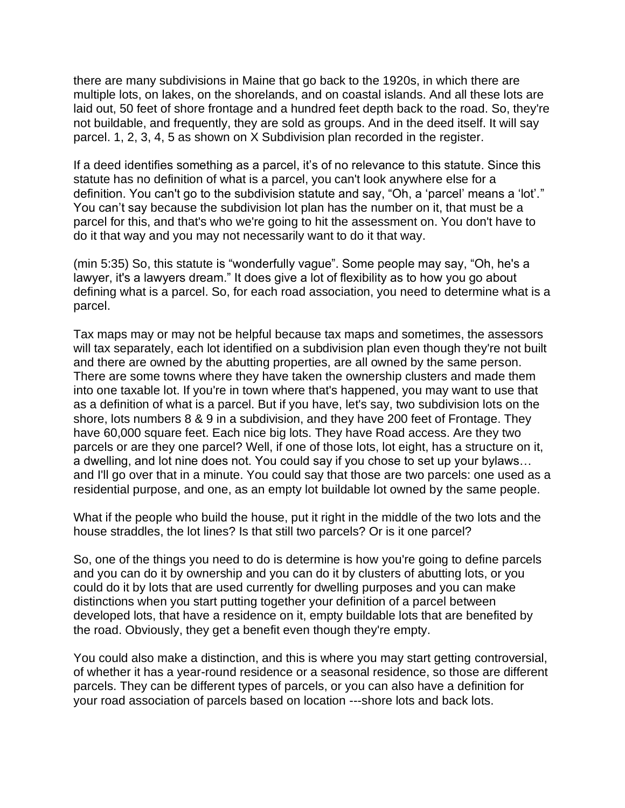there are many subdivisions in Maine that go back to the 1920s, in which there are multiple lots, on lakes, on the shorelands, and on coastal islands. And all these lots are laid out, 50 feet of shore frontage and a hundred feet depth back to the road. So, they're not buildable, and frequently, they are sold as groups. And in the deed itself. It will say parcel. 1, 2, 3, 4, 5 as shown on X Subdivision plan recorded in the register.

If a deed identifies something as a parcel, it's of no relevance to this statute. Since this statute has no definition of what is a parcel, you can't look anywhere else for a definition. You can't go to the subdivision statute and say, "Oh, a 'parcel' means a 'lot'." You can't say because the subdivision lot plan has the number on it, that must be a parcel for this, and that's who we're going to hit the assessment on. You don't have to do it that way and you may not necessarily want to do it that way.

(min 5:35) So, this statute is "wonderfully vague". Some people may say, "Oh, he's a lawyer, it's a lawyers dream." It does give a lot of flexibility as to how you go about defining what is a parcel. So, for each road association, you need to determine what is a parcel.

Tax maps may or may not be helpful because tax maps and sometimes, the assessors will tax separately, each lot identified on a subdivision plan even though they're not built and there are owned by the abutting properties, are all owned by the same person. There are some towns where they have taken the ownership clusters and made them into one taxable lot. If you're in town where that's happened, you may want to use that as a definition of what is a parcel. But if you have, let's say, two subdivision lots on the shore, lots numbers 8 & 9 in a subdivision, and they have 200 feet of Frontage. They have 60,000 square feet. Each nice big lots. They have Road access. Are they two parcels or are they one parcel? Well, if one of those lots, lot eight, has a structure on it, a dwelling, and lot nine does not. You could say if you chose to set up your bylaws… and I'll go over that in a minute. You could say that those are two parcels: one used as a residential purpose, and one, as an empty lot buildable lot owned by the same people.

What if the people who build the house, put it right in the middle of the two lots and the house straddles, the lot lines? Is that still two parcels? Or is it one parcel?

So, one of the things you need to do is determine is how you're going to define parcels and you can do it by ownership and you can do it by clusters of abutting lots, or you could do it by lots that are used currently for dwelling purposes and you can make distinctions when you start putting together your definition of a parcel between developed lots, that have a residence on it, empty buildable lots that are benefited by the road. Obviously, they get a benefit even though they're empty.

You could also make a distinction, and this is where you may start getting controversial, of whether it has a year-round residence or a seasonal residence, so those are different parcels. They can be different types of parcels, or you can also have a definition for your road association of parcels based on location ---shore lots and back lots.